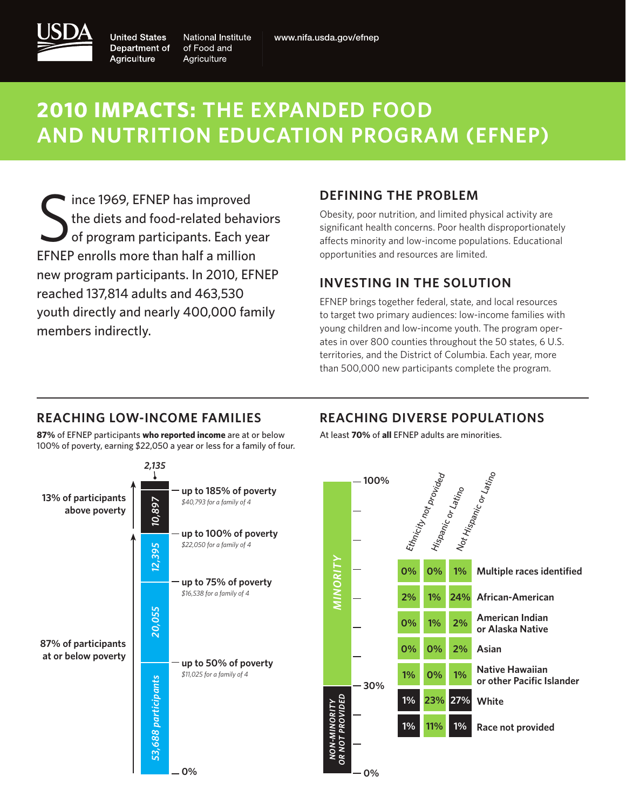

**United States** Department of Agriculture

**National Institute** of Food and Agriculture

## **2010 impacts: The Expanded Food and Nutrition Education Program (EFNEP)**

S I ince 1969, EFNEP has improved the diets and food-related behaviors of program participants. Each year EFNEP enrolls more than half a million new program participants. In 2010, EFNEP reached 137,814 adults and 463,530 youth directly and nearly 400,000 family members indirectly.

#### **DEFINING THE PROBLEM**

Obesity, poor nutrition, and limited physical activity are significant health concerns. Poor health disproportionately affects minority and low-income populations. Educational opportunities and resources are limited.

#### **INVESTING IN THE SOLUTION**

EFNEP brings together federal, state, and local resources to target two primary audiences: low-income families with young children and low-income youth. The program operates in over 800 counties throughout the 50 states, 6 U.S. territories, and the District of Columbia. Each year, more than 500,000 new participants complete the program.

#### **reaching low-income families**

**87%** of EFNEP participants **who reported income** are at or below 100% of poverty, earning \$22,050 a year or less for a family of four.



#### **reaching diverse populations**

At least **70%** of **all** EFNEP adults are minorities.